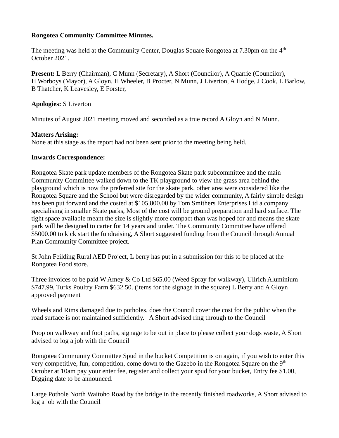## **Rongotea Community Committee Minutes.**

The meeting was held at the Community Center, Douglas Square Rongotea at 7.30pm on the 4<sup>th</sup> October 2021.

**Present:** L Berry (Chairman), C Munn (Secretary), A Short (Councilor), A Quarrie (Councilor), H Worboys (Mayor), A Gloyn, H Wheeler, B Procter, N Munn, J Liverton, A Hodge, J Cook, L Barlow, B Thatcher, K Leavesley, E Forster,

### **Apologies:** S Liverton

Minutes of August 2021 meeting moved and seconded as a true record A Gloyn and N Munn.

### **Matters Arising:**

None at this stage as the report had not been sent prior to the meeting being held.

### **Inwards Correspondence:**

Rongotea Skate park update members of the Rongotea Skate park subcommittee and the main Community Committee walked down to the TK playground to view the grass area behind the playground which is now the preferred site for the skate park, other area were considered like the Rongotea Square and the School but were disregarded by the wider community, A fairly simple design has been put forward and the costed at \$105,800.00 by Tom Smithers Enterprises Ltd a company specialising in smaller Skate parks, Most of the cost will be ground preparation and hard surface. The tight space available meant the size is slightly more compact than was hoped for and means the skate park will be designed to carter for 14 years and under. The Community Committee have offered \$5000.00 to kick start the fundraising, A Short suggested funding from the Council through Annual Plan Community Committee project.

St John Feilding Rural AED Project, L berry has put in a submission for this to be placed at the Rongotea Food store.

Three invoices to be paid W Amey & Co Ltd \$65.00 (Weed Spray for walkway), Ullrich Aluminium \$747.99, Turks Poultry Farm \$632.50. (items for the signage in the square) L Berry and A Gloyn approved payment

Wheels and Rims damaged due to potholes, does the Council cover the cost for the public when the road surface is not maintained sufficiently. A Short advised ring through to the Council

Poop on walkway and foot paths, signage to be out in place to please collect your dogs waste, A Short advised to log a job with the Council

Rongotea Community Committee Spud in the bucket Competition is on again, if you wish to enter this very competitive, fun, competition, come down to the Gazebo in the Rongotea Square on the 9<sup>th</sup> October at 10am pay your enter fee, register and collect your spud for your bucket, Entry fee \$1.00, Digging date to be announced.

Large Pothole North Waitoho Road by the bridge in the recently finished roadworks, A Short advised to log a job with the Council